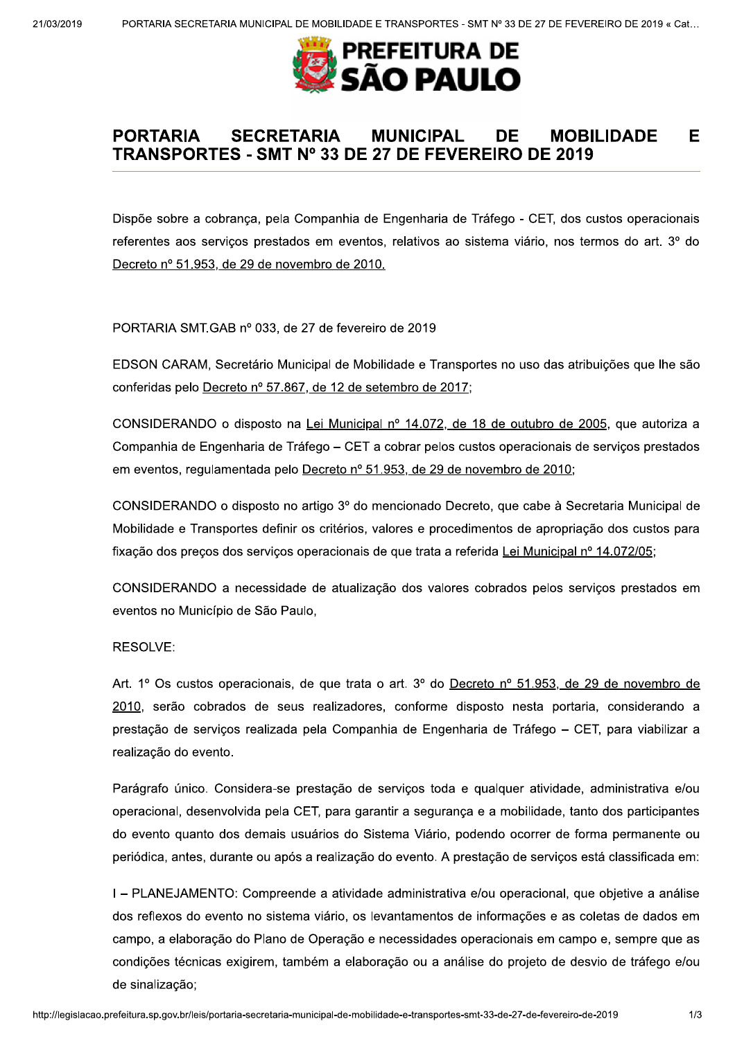

## **PORTARIA SECRETARIA MUNICIPAL** DE -**MOBILIDADE** Е TRANSPORTES - SMT Nº 33 DE 27 DE FEVEREIRO DE 2019

Dispõe sobre a cobrança, pela Companhia de Engenharia de Tráfego - CET, dos custos operacionais referentes aos serviços prestados em eventos, relativos ao sistema viário, nos termos do art. 3º do Decreto nº 51.953, de 29 de novembro de 2010.

PORTARIA SMT.GAB nº 033, de 27 de fevereiro de 2019

EDSON CARAM, Secretário Municipal de Mobilidade e Transportes no uso das atribuições que lhe são conferidas pelo Decreto nº 57.867, de 12 de setembro de 2017;

CONSIDERANDO o disposto na Lei Municipal nº 14.072, de 18 de outubro de 2005, que autoriza a Companhia de Engenharia de Tráfego – CET a cobrar pelos custos operacionais de servicos prestados em eventos, regulamentada pelo Decreto nº 51.953, de 29 de novembro de 2010;

CONSIDERANDO o disposto no artigo 3º do mencionado Decreto, que cabe à Secretaria Municipal de Mobilidade e Transportes definir os critérios, valores e procedimentos de apropriação dos custos para fixação dos preços dos serviços operacionais de que trata a referida Lei Municipal nº 14.072/05;

CONSIDERANDO a necessidade de atualização dos valores cobrados pelos servicos prestados em eventos no Município de São Paulo,

## RESOLVE:

Art. 1º Os custos operacionais, de que trata o art. 3º do Decreto nº 51.953, de 29 de novembro de 2010, serão cobrados de seus realizadores, conforme disposto nesta portaria, considerando a prestação de serviços realizada pela Companhia de Engenharia de Tráfego - CET, para viabilizar a realização do evento.

Parágrafo único. Considera-se prestação de serviços toda e qualquer atividade, administrativa e/ou operacional, desenvolvida pela CET, para garantir a segurança e a mobilidade, tanto dos participantes do evento quanto dos demais usuários do Sistema Viário, podendo ocorrer de forma permanente ou periódica, antes, durante ou após a realização do evento. A prestação de serviços está classificada em:

I – PLANEJAMENTO: Compreende a atividade administrativa e/ou operacional, que objetive a análise dos reflexos do evento no sistema viário, os levantamentos de informações e as coletas de dados em campo, a elaboração do Plano de Operação e necessidades operacionais em campo e, sempre que as condições técnicas exigirem, também a elaboração ou a análise do projeto de desvio de tráfego e/ou de sinalização;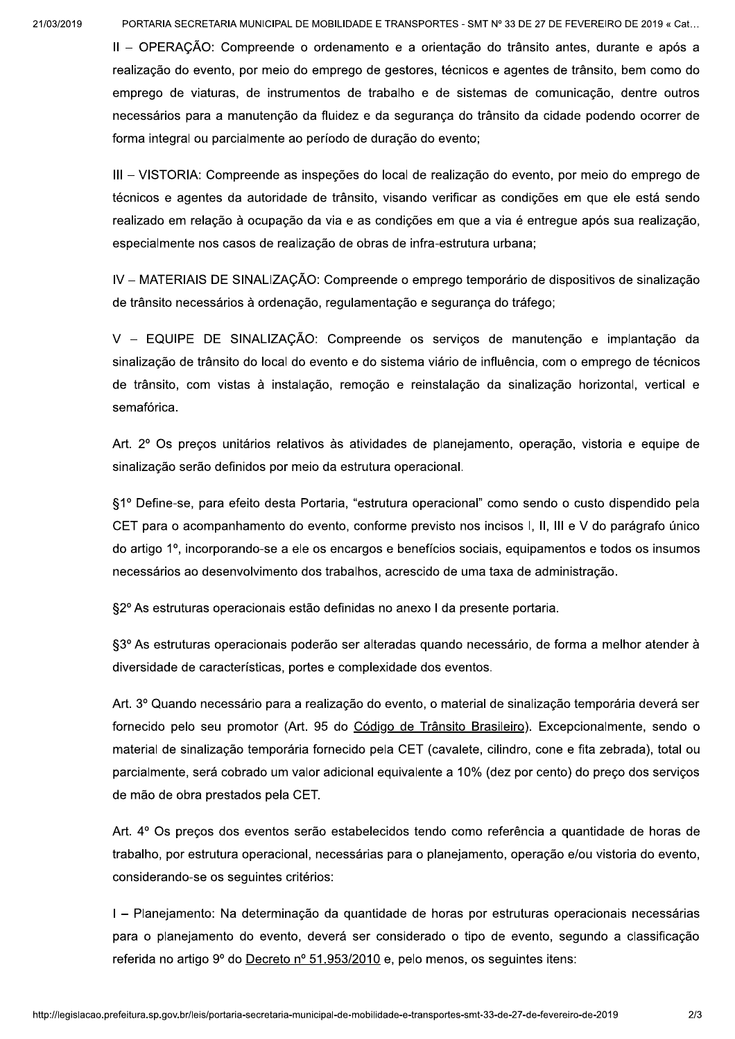PORTARIA SECRETARIA MUNICIPAL DE MOBILIDADE E TRANSPORTES - SMT Nº 33 DE 27 DE FEVEREIRO DE 2019 « Cat...

II - OPERAÇÃO: Compreende o ordenamento e a orientação do trânsito antes, durante e após a realização do evento, por meio do emprego de gestores, técnicos e agentes de trânsito, bem como do emprego de viaturas, de instrumentos de trabalho e de sistemas de comunicação, dentre outros necessários para a manutenção da fluidez e da segurança do trânsito da cidade podendo ocorrer de forma integral ou parcialmente ao período de duração do evento;

III - VISTORIA: Compreende as inspeções do local de realização do evento, por meio do emprego de técnicos e agentes da autoridade de trânsito, visando verificar as condições em que ele está sendo realizado em relação à ocupação da via e as condições em que a via é entregue após sua realização, especialmente nos casos de realização de obras de infra-estrutura urbana;

IV – MATERIAIS DE SINALIZAÇÃO: Compreende o emprego temporário de dispositivos de sinalização de trânsito necessários à ordenação, regulamentação e segurança do tráfego;

V - EQUIPE DE SINALIZAÇÃO: Compreende os servicos de manutenção e implantação da sinalização de trânsito do local do evento e do sistema viário de influência, com o emprego de técnicos de trânsito, com vistas à instalação, remoção e reinstalação da sinalização horizontal, vertical e semafórica.

Art. 2º Os preços unitários relativos às atividades de planejamento, operação, vistoria e equipe de sinalização serão definidos por meio da estrutura operacional.

§1º Define-se, para efeito desta Portaria, "estrutura operacional" como sendo o custo dispendido pela CET para o acompanhamento do evento, conforme previsto nos incisos I, II, III e V do parágrafo único do artigo 1<sup>o</sup>, incorporando-se a ele os encargos e benefícios sociais, equipamentos e todos os insumos necessários ao desenvolvimento dos trabalhos, acrescido de uma taxa de administração.

§2º As estruturas operacionais estão definidas no anexo I da presente portaria.

§3º As estruturas operacionais poderão ser alteradas quando necessário, de forma a melhor atender à diversidade de características, portes e complexidade dos eventos.

Art. 3º Quando necessário para a realização do evento, o material de sinalização temporária deverá ser fornecido pelo seu promotor (Art. 95 do Código de Trânsito Brasileiro). Excepcionalmente, sendo o material de sinalização temporária fornecido pela CET (cavalete, cilindro, cone e fita zebrada), total ou parcialmente, será cobrado um valor adicional equivalente a 10% (dez por cento) do preco dos servicos de mão de obra prestados pela CET.

Art. 4º Os precos dos eventos serão estabelecidos tendo como referência a quantidade de horas de trabalho, por estrutura operacional, necessárias para o planejamento, operação e/ou vistoria do evento, considerando-se os seguintes critérios:

I - Planejamento: Na determinação da quantidade de horas por estruturas operacionais necessárias para o planejamento do evento, deverá ser considerado o tipo de evento, segundo a classificação referida no artigo 9º do Decreto nº 51.953/2010 e, pelo menos, os seguintes itens: